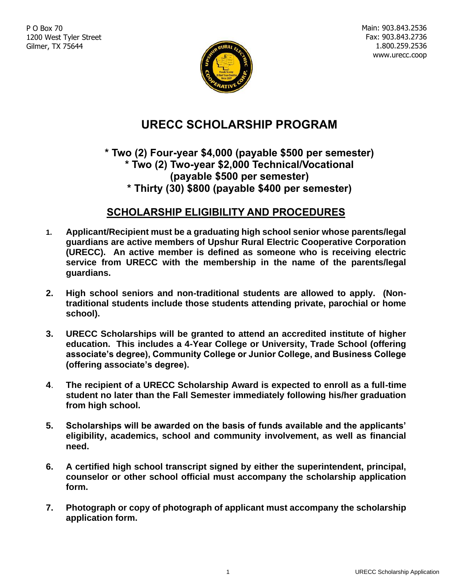P O Box 70 1200 West Tyler Street Gilmer, TX 75644

Main: 903.843.2536 Fax: 903.843.2736 1.800.259.2536 www.urecc.coop



# **URECC SCHOLARSHIP PROGRAM**

#### **\* Two (2) Four-year \$4,000 (payable \$500 per semester) \* Two (2) Two-year \$2,000 Technical/Vocational (payable \$500 per semester) \* Thirty (30) \$800 (payable \$400 per semester)**

### **SCHOLARSHIP ELIGIBILITY AND PROCEDURES**

- **1. Applicant/Recipient must be a graduating high school senior whose parents/legal guardians are active members of Upshur Rural Electric Cooperative Corporation (URECC). An active member is defined as someone who is receiving electric service from URECC with the membership in the name of the parents/legal guardians.**
- **2. High school seniors and non-traditional students are allowed to apply. (Nontraditional students include those students attending private, parochial or home school).**
- **3. URECC Scholarships will be granted to attend an accredited institute of higher education. This includes a 4-Year College or University, Trade School (offering associate's degree), Community College or Junior College, and Business College (offering associate's degree).**
- **4**. **The recipient of a URECC Scholarship Award is expected to enroll as a full-time student no later than the Fall Semester immediately following his/her graduation from high school.**
- **5. Scholarships will be awarded on the basis of funds available and the applicants' eligibility, academics, school and community involvement, as well as financial need.**
- **6. A certified high school transcript signed by either the superintendent, principal, counselor or other school official must accompany the scholarship application form.**
- **7. Photograph or copy of photograph of applicant must accompany the scholarship application form.**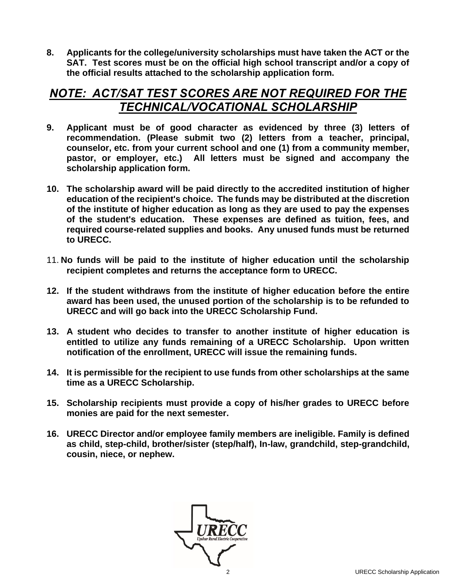**8. Applicants for the college/university scholarships must have taken the ACT or the SAT. Test scores must be on the official high school transcript and/or a copy of the official results attached to the scholarship application form.** 

### *NOTE: ACT/SAT TEST SCORES ARE NOT REQUIRED FOR THE TECHNICAL/VOCATIONAL SCHOLARSHIP*

- **9. Applicant must be of good character as evidenced by three (3) letters of recommendation. (Please submit two (2) letters from a teacher, principal, counselor, etc. from your current school and one (1) from a community member, pastor, or employer, etc.) All letters must be signed and accompany the scholarship application form.**
- **10. The scholarship award will be paid directly to the accredited institution of higher education of the recipient's choice. The funds may be distributed at the discretion of the institute of higher education as long as they are used to pay the expenses of the student's education. These expenses are defined as tuition, fees, and required course-related supplies and books. Any unused funds must be returned to URECC.**
- 11. **No funds will be paid to the institute of higher education until the scholarship recipient completes and returns the acceptance form to URECC.**
- **12. If the student withdraws from the institute of higher education before the entire award has been used, the unused portion of the scholarship is to be refunded to URECC and will go back into the URECC Scholarship Fund.**
- **13. A student who decides to transfer to another institute of higher education is entitled to utilize any funds remaining of a URECC Scholarship. Upon written notification of the enrollment, URECC will issue the remaining funds.**
- **14. It is permissible for the recipient to use funds from other scholarships at the same time as a URECC Scholarship.**
- **15. Scholarship recipients must provide a copy of his/her grades to URECC before monies are paid for the next semester.**
- **16. URECC Director and/or employee family members are ineligible. Family is defined as child, step-child, brother/sister (step/half), In-law, grandchild, step-grandchild, cousin, niece, or nephew.**

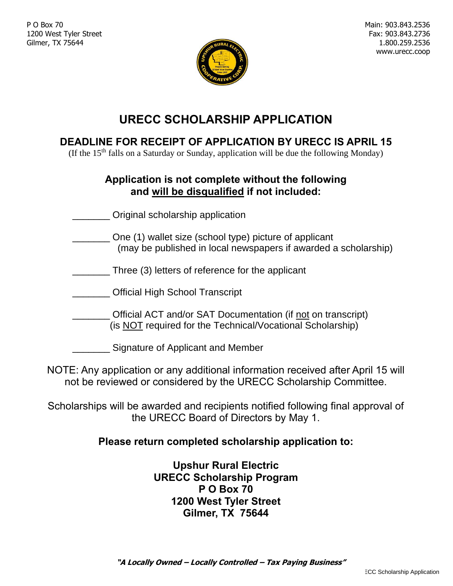P O Box 70 1200 West Tyler Street Gilmer, TX 75644



## **URECC SCHOLARSHIP APPLICATION**

## **DEADLINE FOR RECEIPT OF APPLICATION BY URECC IS APRIL 15**

(If the  $15<sup>th</sup>$  falls on a Saturday or Sunday, application will be due the following Monday)

### **Application is not complete without the following and will be disqualified if not included:**

\_\_\_\_\_\_\_ Original scholarship application

- \_\_\_\_\_\_\_ One (1) wallet size (school type) picture of applicant (may be published in local newspapers if awarded a scholarship)
- \_\_\_\_\_\_\_ Three (3) letters of reference for the applicant
- \_\_\_\_\_\_\_ Official High School Transcript
- \_\_\_\_\_\_\_ Official ACT and/or SAT Documentation (if not on transcript) (is NOT required for the Technical/Vocational Scholarship)

\_\_\_\_\_\_\_ Signature of Applicant and Member

NOTE: Any application or any additional information received after April 15 will not be reviewed or considered by the URECC Scholarship Committee.

Scholarships will be awarded and recipients notified following final approval of the URECC Board of Directors by May 1.

### **Please return completed scholarship application to:**

**Upshur Rural Electric URECC Scholarship Program P O Box 70 1200 West Tyler Street Gilmer, TX 75644**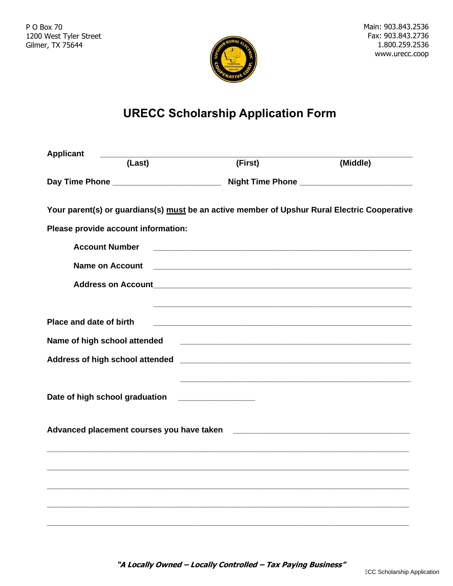

# **URECC Scholarship Application Form**

| <b>Applicant</b>                    |                                                                                                                       |          |
|-------------------------------------|-----------------------------------------------------------------------------------------------------------------------|----------|
| (Last)                              | (First)                                                                                                               | (Middle) |
|                                     |                                                                                                                       |          |
|                                     | Your parent(s) or guardians(s) must be an active member of Upshur Rural Electric Cooperative                          |          |
| Please provide account information: |                                                                                                                       |          |
| <b>Account Number</b>               |                                                                                                                       |          |
| <b>Name on Account</b>              |                                                                                                                       |          |
|                                     |                                                                                                                       |          |
| Place and date of birth             | <u> 1989 - Johann Barn, amerikan berkema di sebagai berkema di sebagai berkema di sebagai berkema di sebagai berk</u> |          |
|                                     |                                                                                                                       |          |
| Name of high school attended        |                                                                                                                       |          |
|                                     |                                                                                                                       |          |
| Date of high school graduation      |                                                                                                                       |          |
|                                     |                                                                                                                       |          |
|                                     |                                                                                                                       |          |
|                                     |                                                                                                                       |          |
|                                     |                                                                                                                       |          |
|                                     |                                                                                                                       |          |

**"A Locally Owned – Locally Controlled – Tax Paying Business"**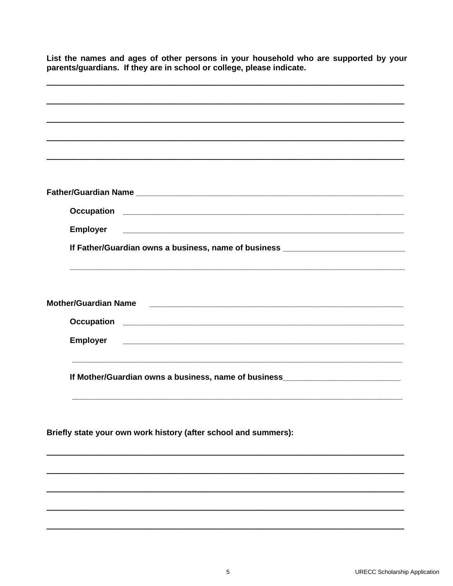| List the names and ages of other persons in your household who are supported by your<br>parents/guardians. If they are in school or college, please indicate.                                                                        |  |  |
|--------------------------------------------------------------------------------------------------------------------------------------------------------------------------------------------------------------------------------------|--|--|
|                                                                                                                                                                                                                                      |  |  |
|                                                                                                                                                                                                                                      |  |  |
|                                                                                                                                                                                                                                      |  |  |
|                                                                                                                                                                                                                                      |  |  |
|                                                                                                                                                                                                                                      |  |  |
|                                                                                                                                                                                                                                      |  |  |
|                                                                                                                                                                                                                                      |  |  |
| <b>Employer</b><br><u> 2000 - 2000 - 2000 - 2000 - 2000 - 2000 - 2000 - 2000 - 2000 - 2000 - 2000 - 2000 - 2000 - 2000 - 2000 - 200</u>                                                                                              |  |  |
| If Father/Guardian owns a business, name of business <b>contract to the contract of the contract of the contract of the contract of the contract of the contract of the contract of the contract of the contract of the contract</b> |  |  |
|                                                                                                                                                                                                                                      |  |  |
|                                                                                                                                                                                                                                      |  |  |
|                                                                                                                                                                                                                                      |  |  |
| <b>Employer</b>                                                                                                                                                                                                                      |  |  |
| If Mother/Guardian owns a business, name of business____________________________                                                                                                                                                     |  |  |
|                                                                                                                                                                                                                                      |  |  |
|                                                                                                                                                                                                                                      |  |  |
| Briefly state your own work history (after school and summers):                                                                                                                                                                      |  |  |
|                                                                                                                                                                                                                                      |  |  |
|                                                                                                                                                                                                                                      |  |  |
|                                                                                                                                                                                                                                      |  |  |
|                                                                                                                                                                                                                                      |  |  |
|                                                                                                                                                                                                                                      |  |  |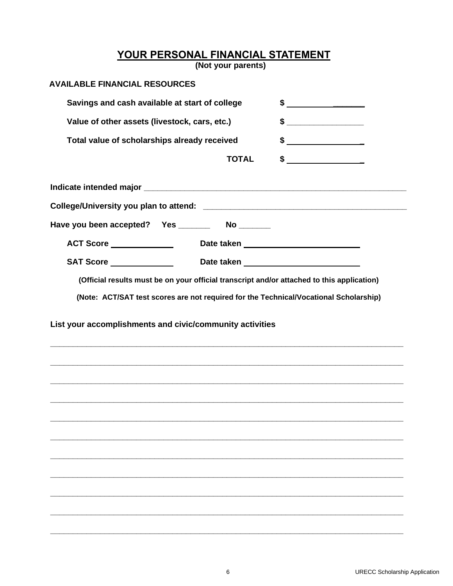**YOUR PERSONAL FINANCIAL STATEMENT**

**(Not your parents)**

| <b>AVAILABLE FINANCIAL RESOURCES</b>           |              |                                                                                                                                                                                                                                                                                                                                                                                                                                 |
|------------------------------------------------|--------------|---------------------------------------------------------------------------------------------------------------------------------------------------------------------------------------------------------------------------------------------------------------------------------------------------------------------------------------------------------------------------------------------------------------------------------|
| Savings and cash available at start of college |              | $\frac{1}{2}$                                                                                                                                                                                                                                                                                                                                                                                                                   |
| Value of other assets (livestock, cars, etc.)  |              |                                                                                                                                                                                                                                                                                                                                                                                                                                 |
| Total value of scholarships already received   |              | $\frac{1}{\sqrt{1-\frac{1}{2}}}\frac{1}{\sqrt{1-\frac{1}{2}}}\frac{1}{\sqrt{1-\frac{1}{2}}}\frac{1}{\sqrt{1-\frac{1}{2}}}\frac{1}{\sqrt{1-\frac{1}{2}}}\frac{1}{\sqrt{1-\frac{1}{2}}}\frac{1}{\sqrt{1-\frac{1}{2}}}\frac{1}{\sqrt{1-\frac{1}{2}}}\frac{1}{\sqrt{1-\frac{1}{2}}}\frac{1}{\sqrt{1-\frac{1}{2}}}\frac{1}{\sqrt{1-\frac{1}{2}}}\frac{1}{\sqrt{1-\frac{1}{2}}}\frac{1}{\sqrt{1-\frac{1}{2}}}\frac{1}{\sqrt{1-\frac{$ |
|                                                | <b>TOTAL</b> | \$                                                                                                                                                                                                                                                                                                                                                                                                                              |
|                                                |              |                                                                                                                                                                                                                                                                                                                                                                                                                                 |
|                                                |              |                                                                                                                                                                                                                                                                                                                                                                                                                                 |
|                                                |              |                                                                                                                                                                                                                                                                                                                                                                                                                                 |
| ACT Score <b>ACT Score</b>                     |              | Date taken Management and the state of the state of the state of the state of the state of the state of the state of the state of the state of the state of the state of the state of the state of the state of the state of t                                                                                                                                                                                                  |
|                                                |              |                                                                                                                                                                                                                                                                                                                                                                                                                                 |
|                                                |              | (Official results must be on your official transcript and/or attached to this application)                                                                                                                                                                                                                                                                                                                                      |
|                                                |              |                                                                                                                                                                                                                                                                                                                                                                                                                                 |
|                                                |              |                                                                                                                                                                                                                                                                                                                                                                                                                                 |
|                                                |              |                                                                                                                                                                                                                                                                                                                                                                                                                                 |
|                                                |              |                                                                                                                                                                                                                                                                                                                                                                                                                                 |
|                                                |              |                                                                                                                                                                                                                                                                                                                                                                                                                                 |
|                                                |              |                                                                                                                                                                                                                                                                                                                                                                                                                                 |
|                                                |              |                                                                                                                                                                                                                                                                                                                                                                                                                                 |
|                                                |              |                                                                                                                                                                                                                                                                                                                                                                                                                                 |
|                                                |              |                                                                                                                                                                                                                                                                                                                                                                                                                                 |
|                                                |              |                                                                                                                                                                                                                                                                                                                                                                                                                                 |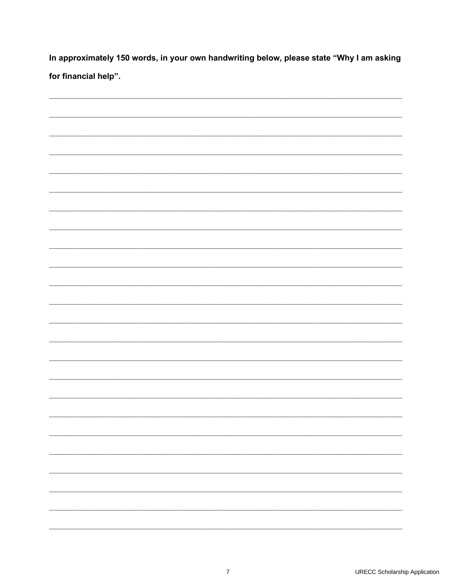In approximately 150 words, in your own handwriting below, please state "Why I am asking for financial help".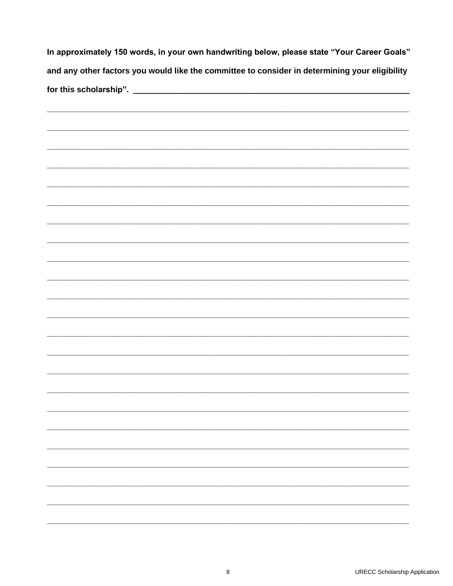| In approximately 150 words, in your own handwriting below, please state "Your Career Goals"<br>and any other factors you would like the committee to consider in determining your eligibility |  |  |
|-----------------------------------------------------------------------------------------------------------------------------------------------------------------------------------------------|--|--|
|                                                                                                                                                                                               |  |  |
|                                                                                                                                                                                               |  |  |
|                                                                                                                                                                                               |  |  |
|                                                                                                                                                                                               |  |  |
|                                                                                                                                                                                               |  |  |
|                                                                                                                                                                                               |  |  |
|                                                                                                                                                                                               |  |  |
|                                                                                                                                                                                               |  |  |
|                                                                                                                                                                                               |  |  |
|                                                                                                                                                                                               |  |  |
|                                                                                                                                                                                               |  |  |
|                                                                                                                                                                                               |  |  |
|                                                                                                                                                                                               |  |  |
|                                                                                                                                                                                               |  |  |
|                                                                                                                                                                                               |  |  |
|                                                                                                                                                                                               |  |  |
|                                                                                                                                                                                               |  |  |
|                                                                                                                                                                                               |  |  |
|                                                                                                                                                                                               |  |  |
|                                                                                                                                                                                               |  |  |
|                                                                                                                                                                                               |  |  |
|                                                                                                                                                                                               |  |  |
|                                                                                                                                                                                               |  |  |
|                                                                                                                                                                                               |  |  |
|                                                                                                                                                                                               |  |  |
|                                                                                                                                                                                               |  |  |
|                                                                                                                                                                                               |  |  |